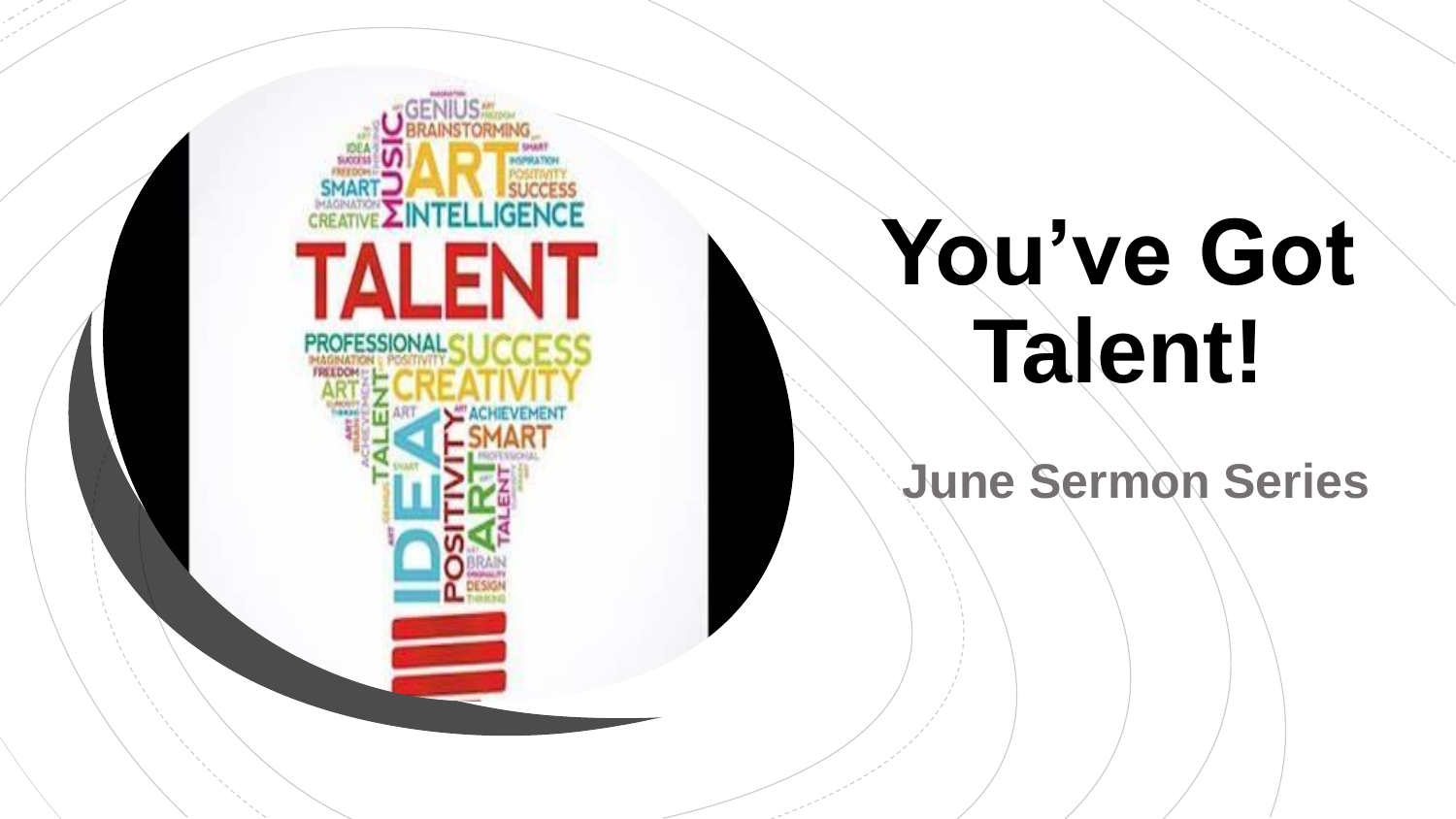

# You've Got **Talent!**

**June Sermon Series**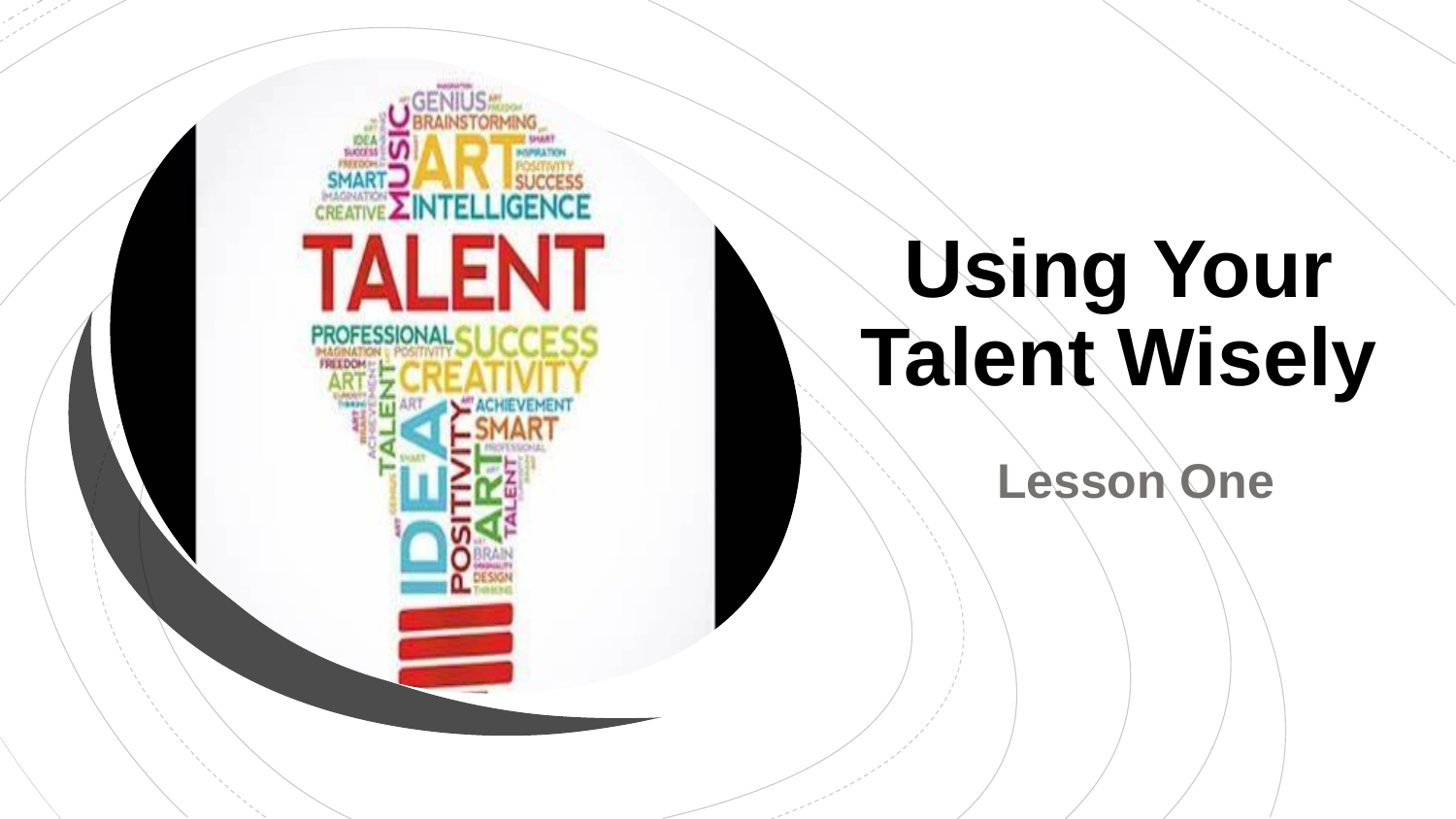

# **Using Your Talent Wisely**

**Lesson One**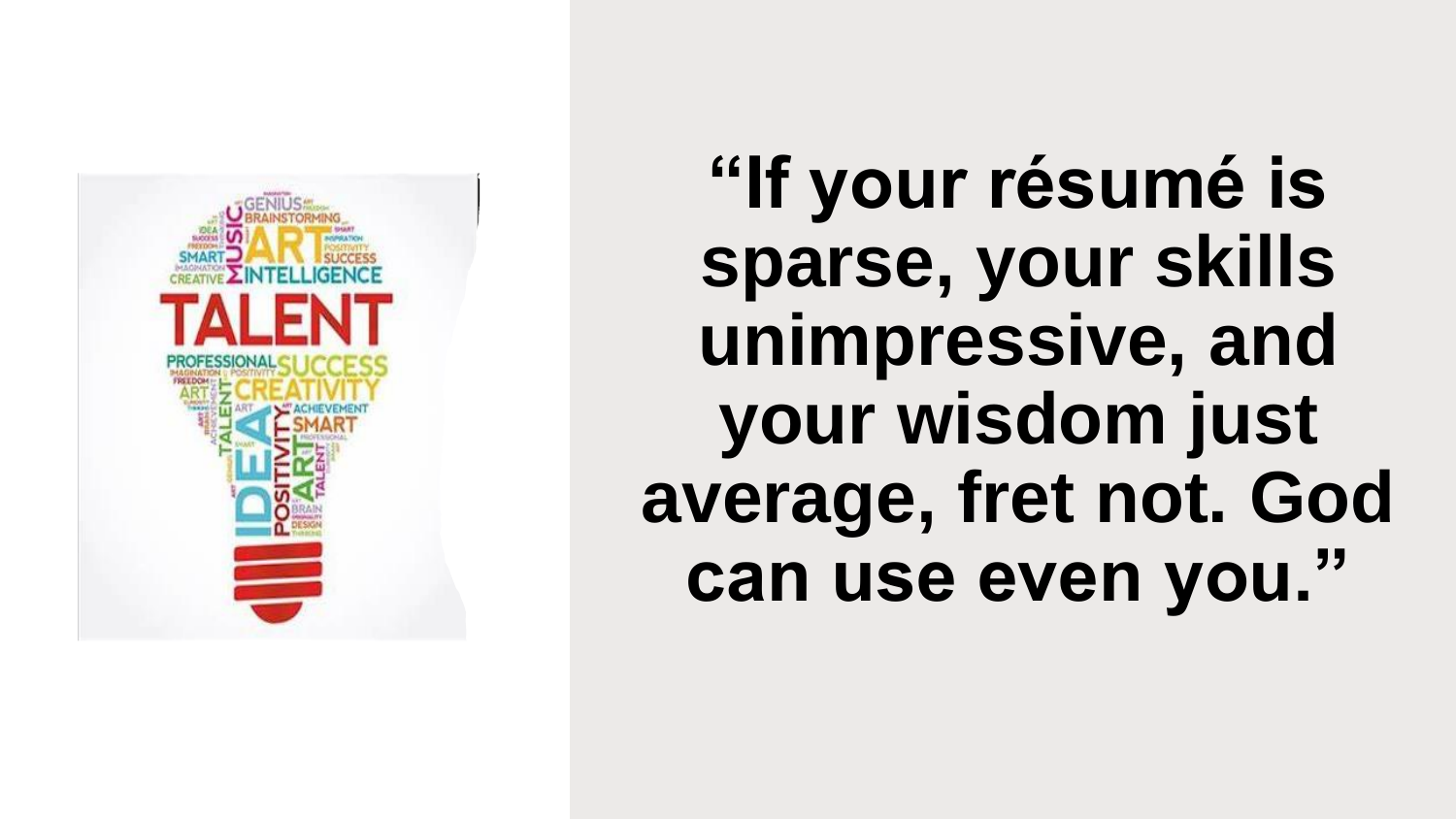

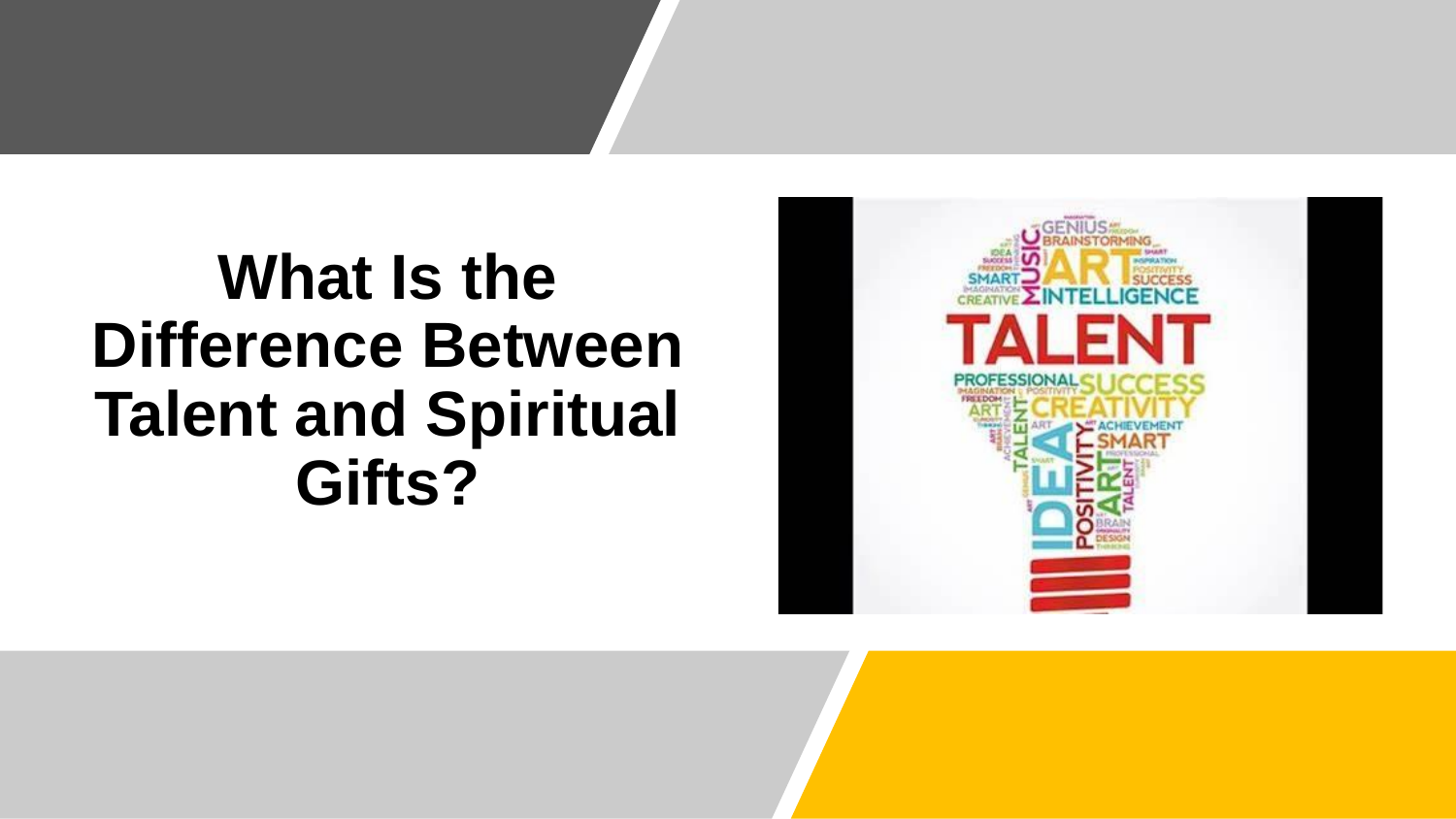#### **What Is the Difference Between Talent and Spiritual Gifts?**

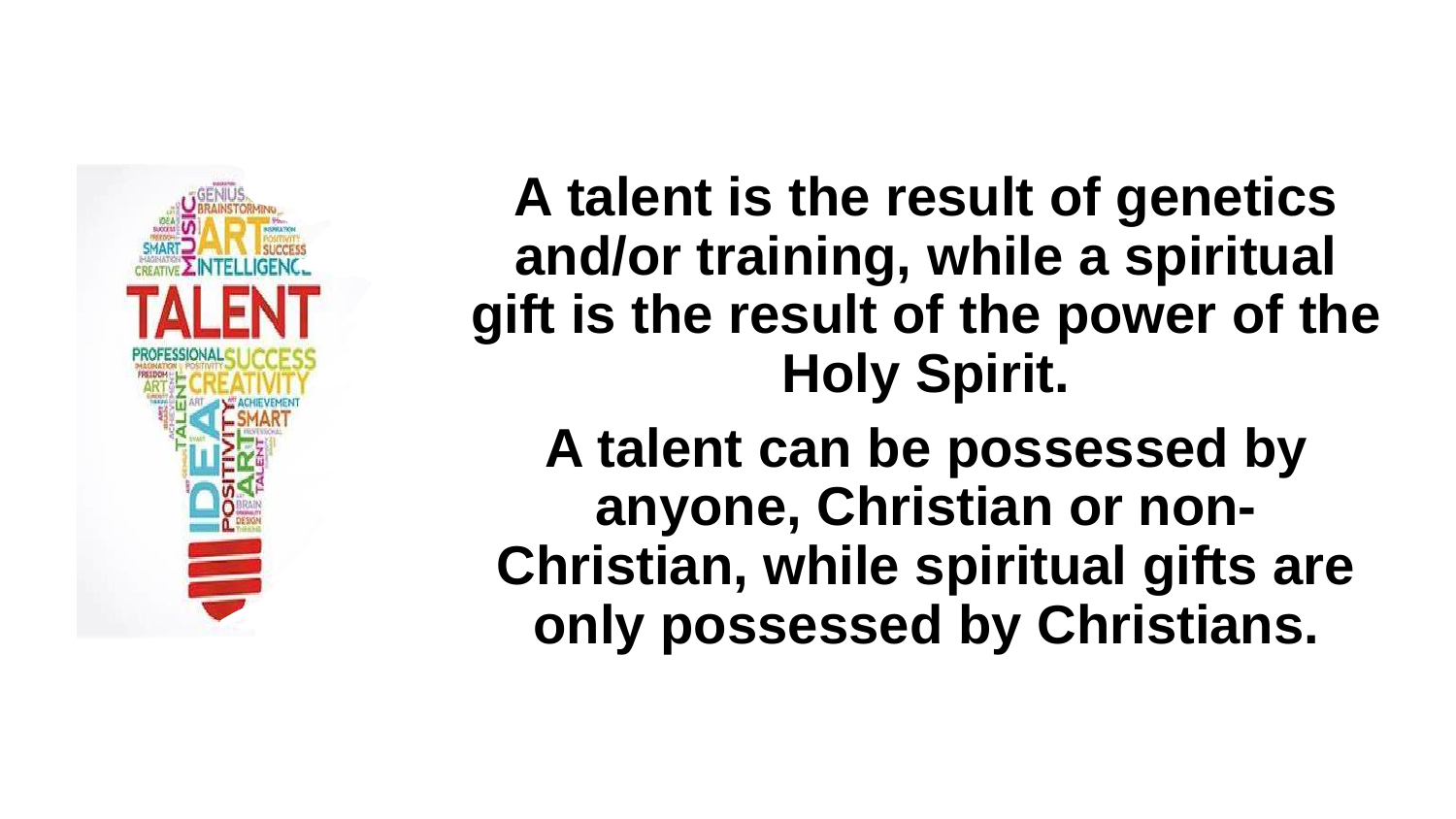

**A talent is the result of genetics and/or training, while a spiritual gift is the result of the power of the Holy Spirit. A talent can be possessed by anyone, Christian or non-Christian, while spiritual gifts are only possessed by Christians.**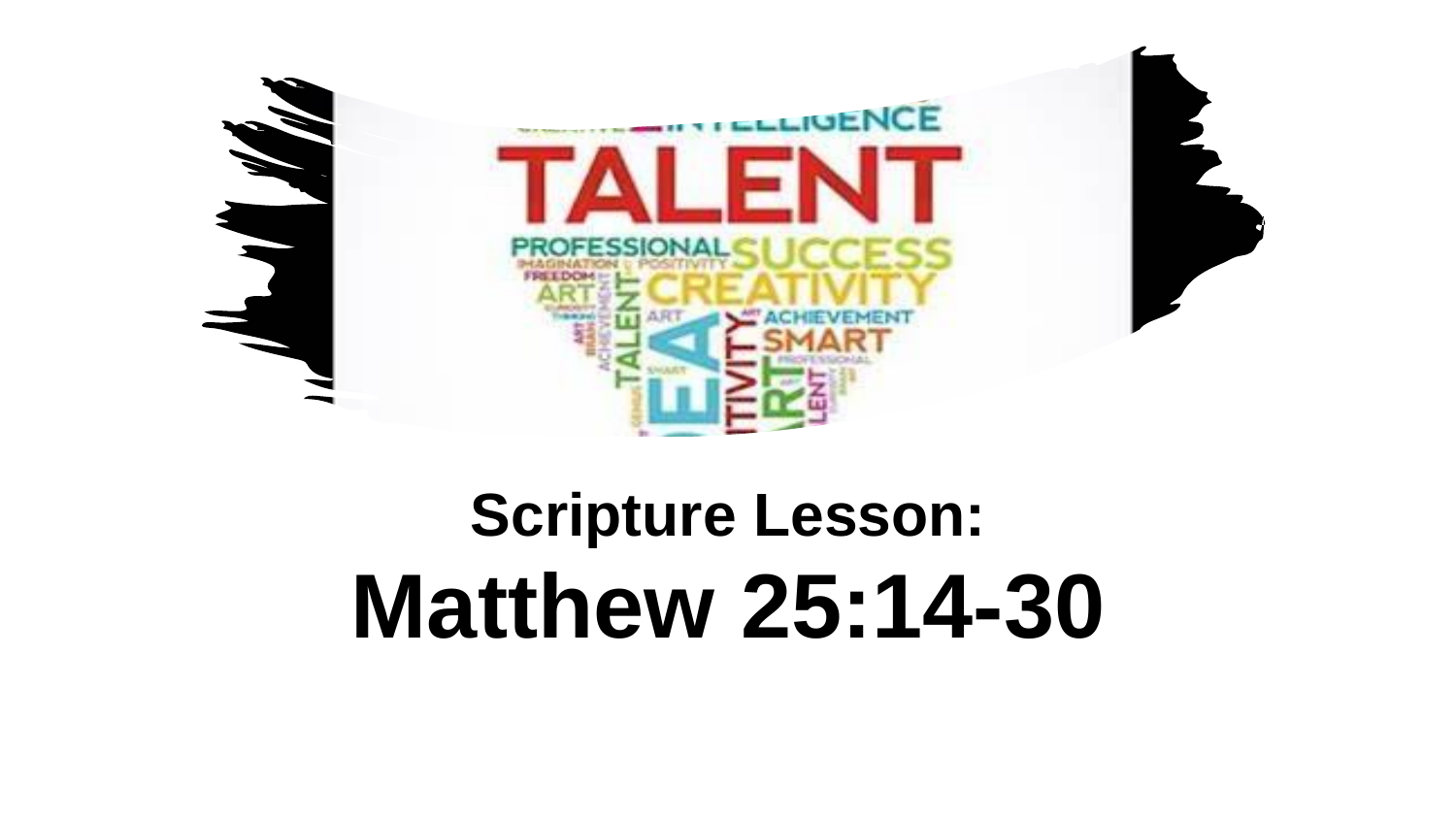

### **Scripture Lesson: Matthew 25:14-30**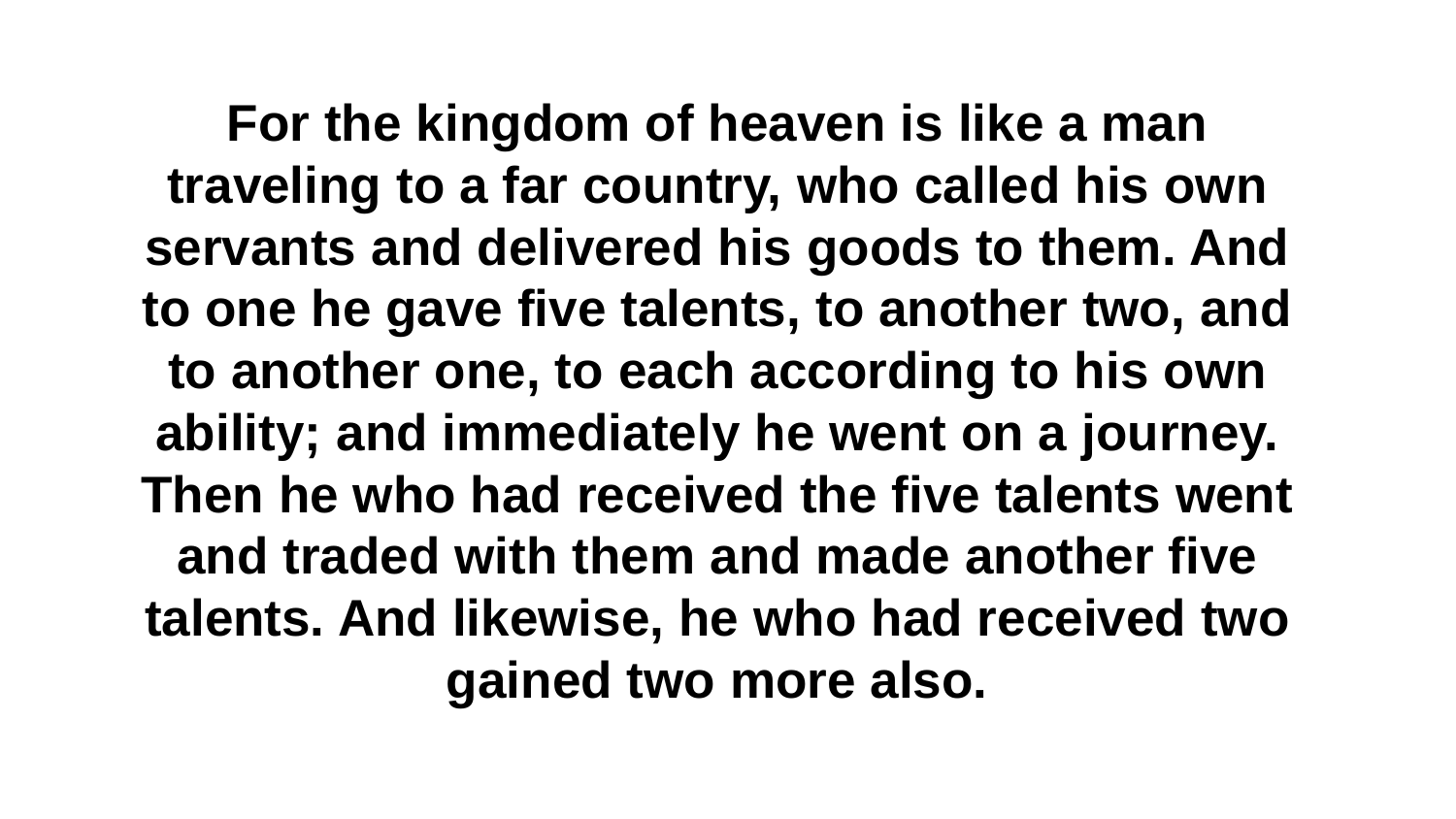**For the kingdom of heaven is like a man traveling to a far country, who called his own servants and delivered his goods to them. And to one he gave five talents, to another two, and to another one, to each according to his own ability; and immediately he went on a journey. Then he who had received the five talents went and traded with them and made another five talents. And likewise, he who had received two gained two more also.**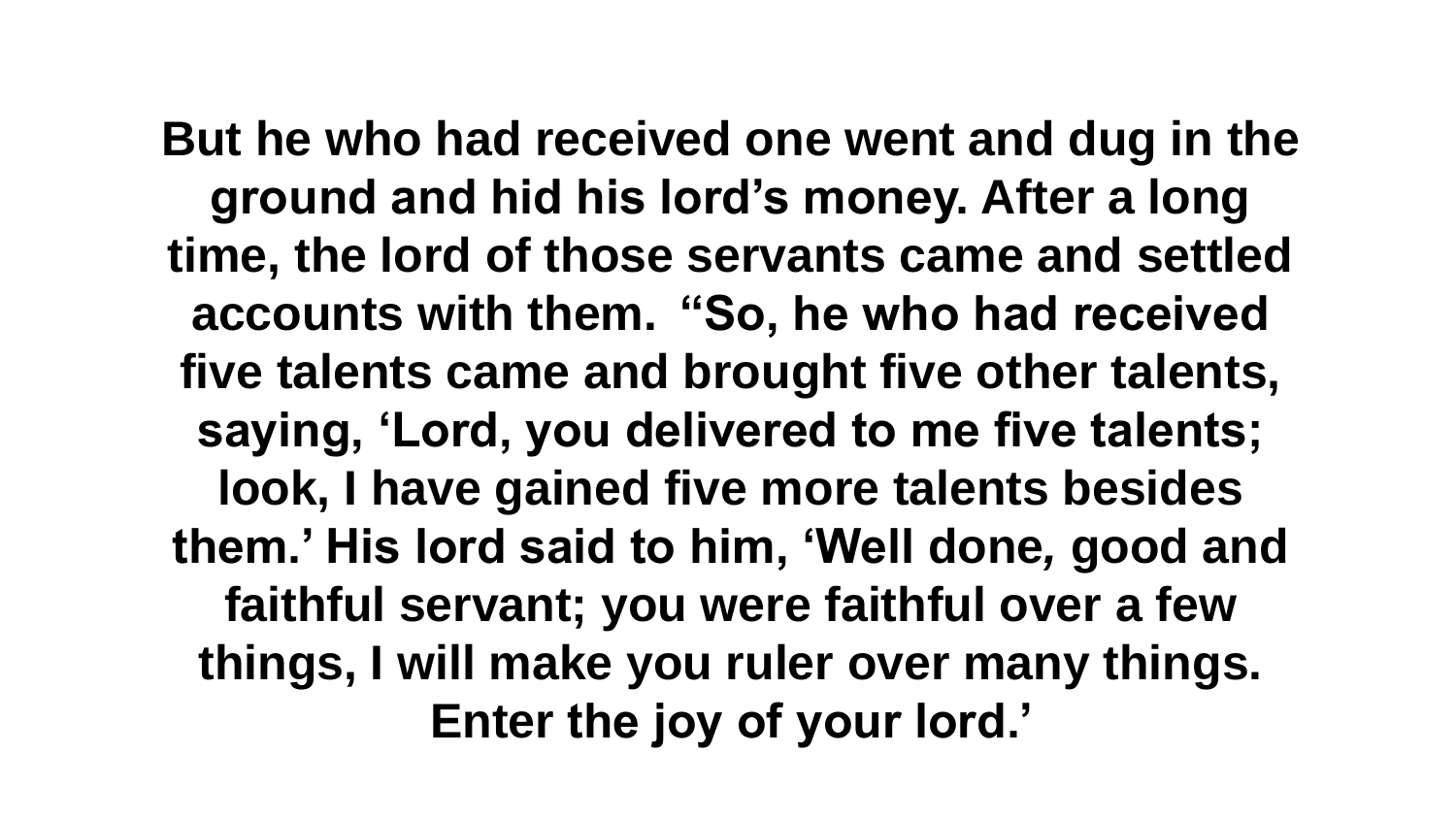**But he who had received one went and dug in the ground and hid his lord's money. After a long time, the lord of those servants came and settled accounts with them. "So, he who had received five talents came and brought five other talents, saying, 'Lord, you delivered to me five talents; look, I have gained five more talents besides them.' His lord said to him, 'Well done***,* **good and faithful servant; you were faithful over a few things, I will make you ruler over many things. Enter the joy of your lord.'**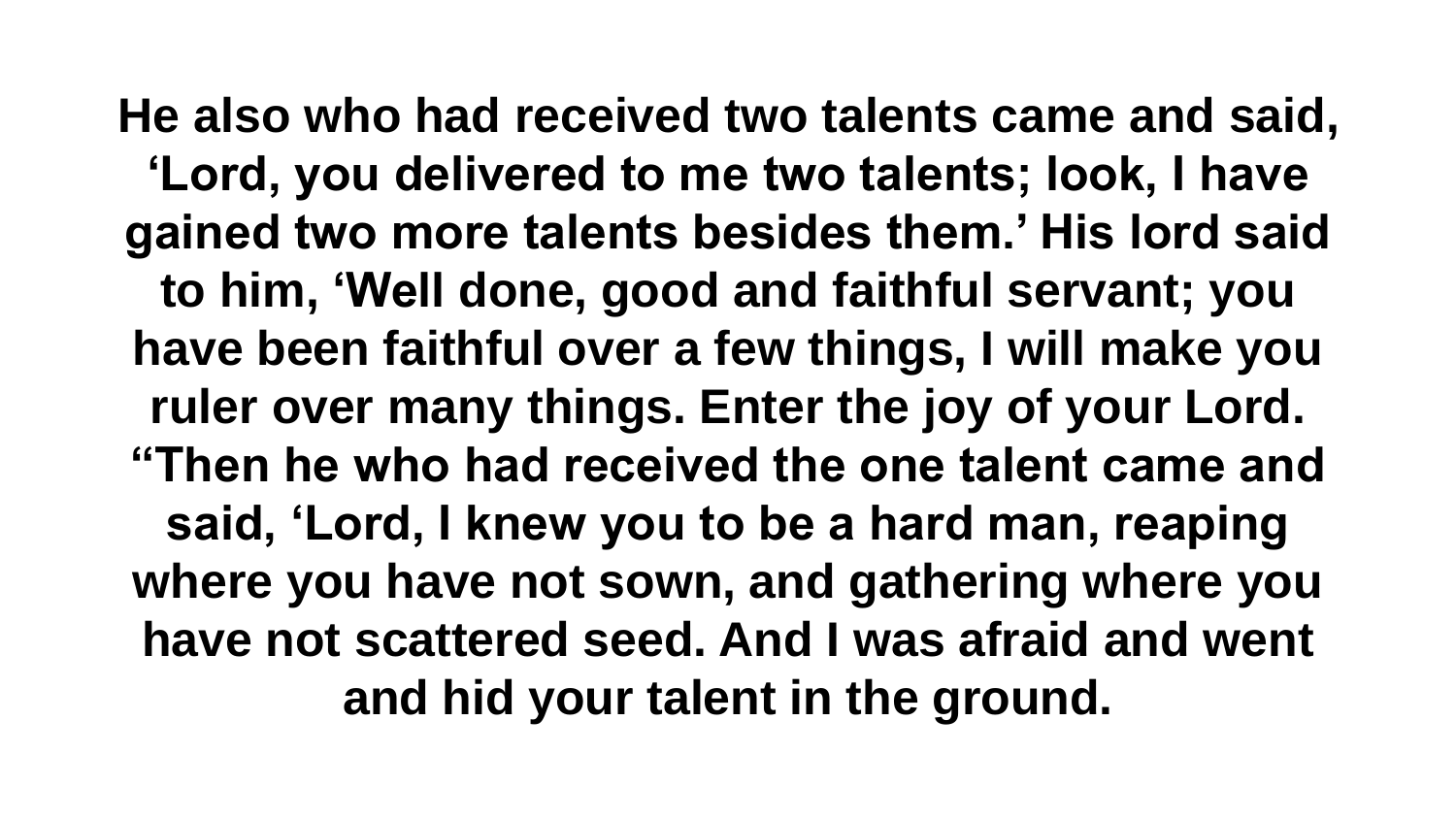**He also who had received two talents came and said, 'Lord, you delivered to me two talents; look, I have gained two more talents besides them.' His lord said to him, 'Well done, good and faithful servant; you have been faithful over a few things, I will make you ruler over many things. Enter the joy of your Lord. "Then he who had received the one talent came and said, 'Lord, I knew you to be a hard man, reaping where you have not sown, and gathering where you have not scattered seed. And I was afraid and went and hid your talent in the ground.**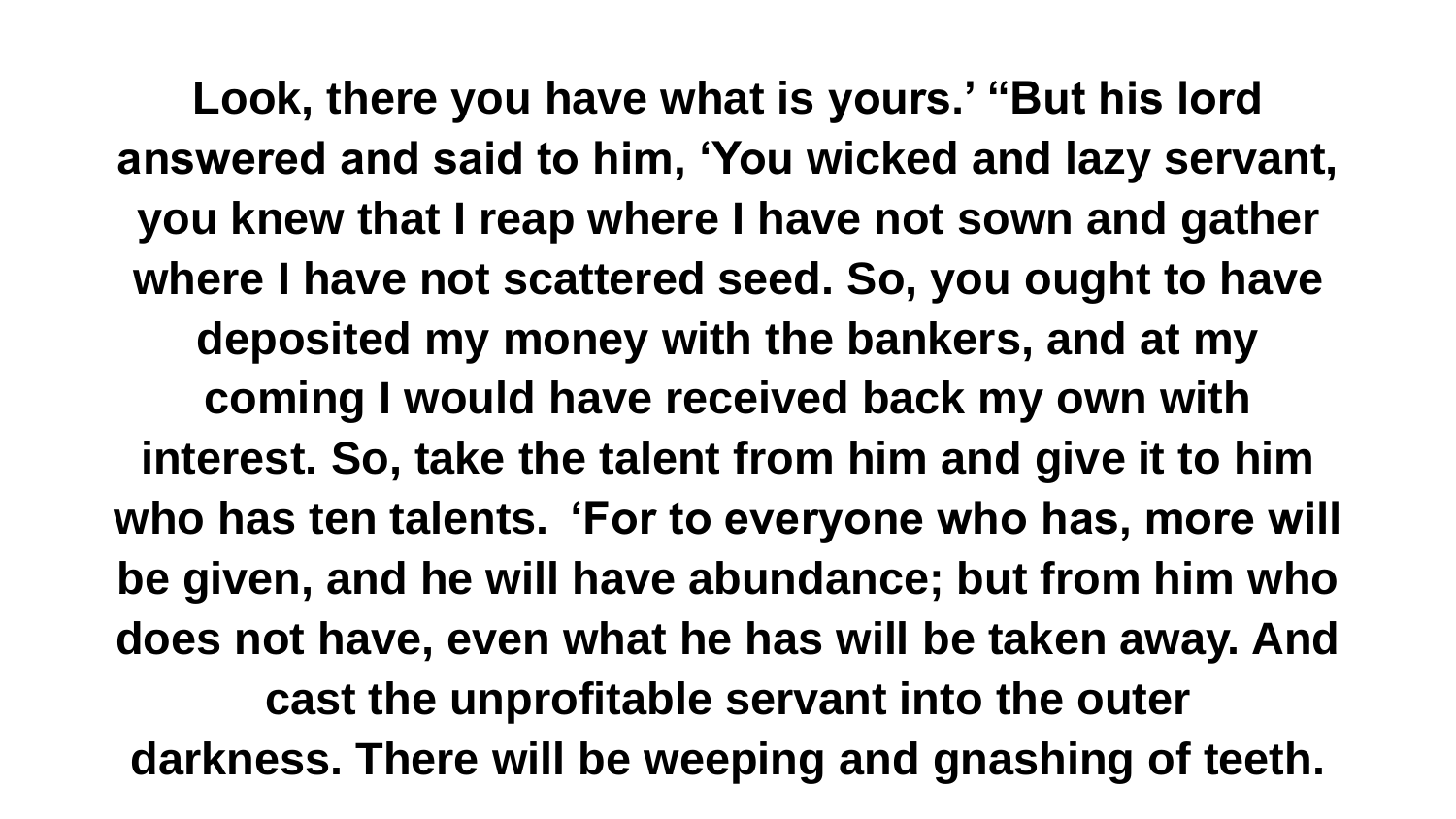**Look, there you have what is yours.' "But his lord answered and said to him, 'You wicked and lazy servant, you knew that I reap where I have not sown and gather where I have not scattered seed. So, you ought to have deposited my money with the bankers, and at my coming I would have received back my own with interest. So, take the talent from him and give it to him who has ten talents. 'For to everyone who has, more will be given, and he will have abundance; but from him who does not have, even what he has will be taken away. And cast the unprofitable servant into the outer darkness. There will be weeping and gnashing of teeth.**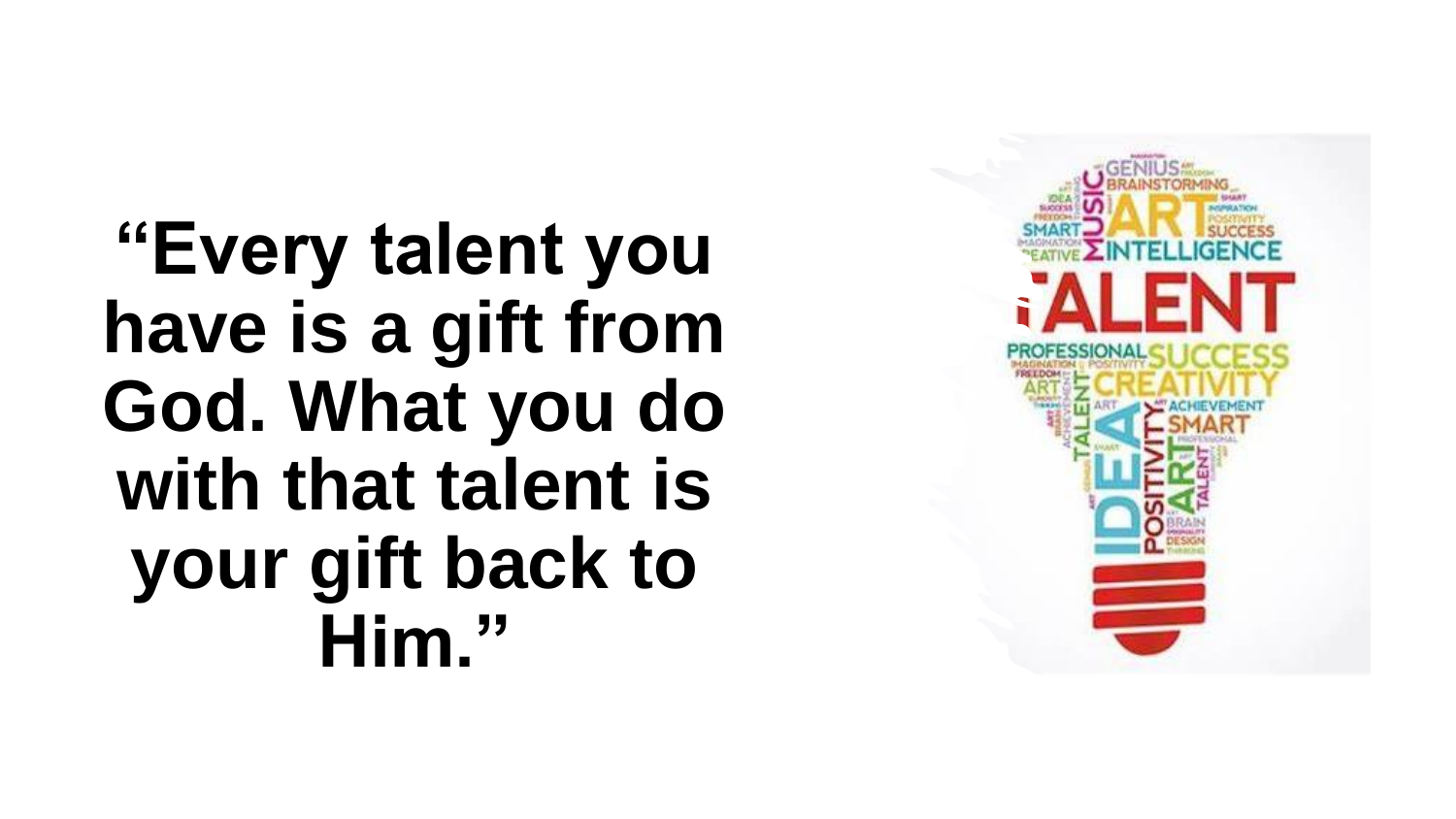**"Every talent you have is a gift from God. What you do with that talent is your gift back to Him."**

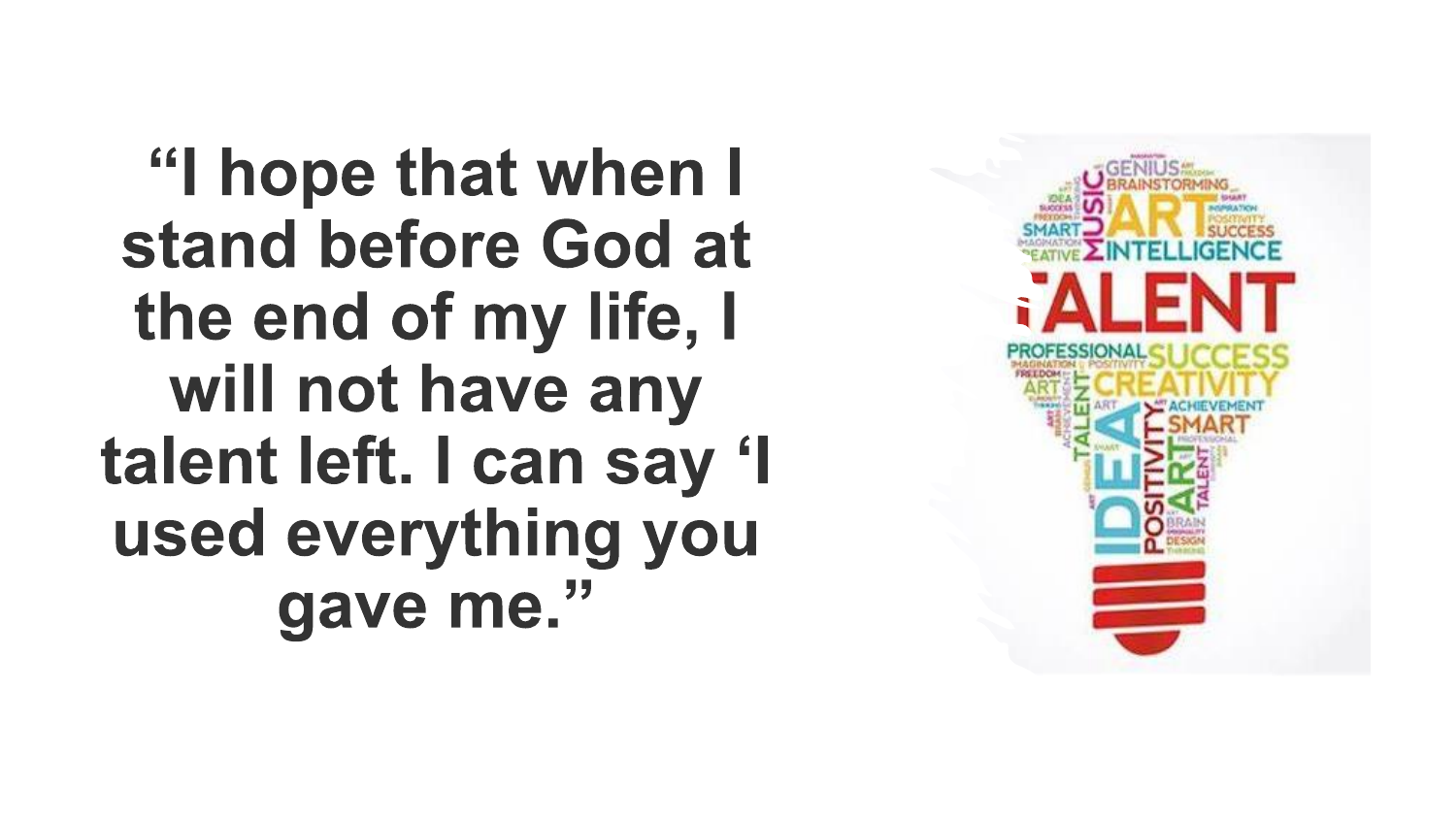"I hope that when I stand before God at the end of my life, I will not have any talent left. I can say 'I used everything you gave me."

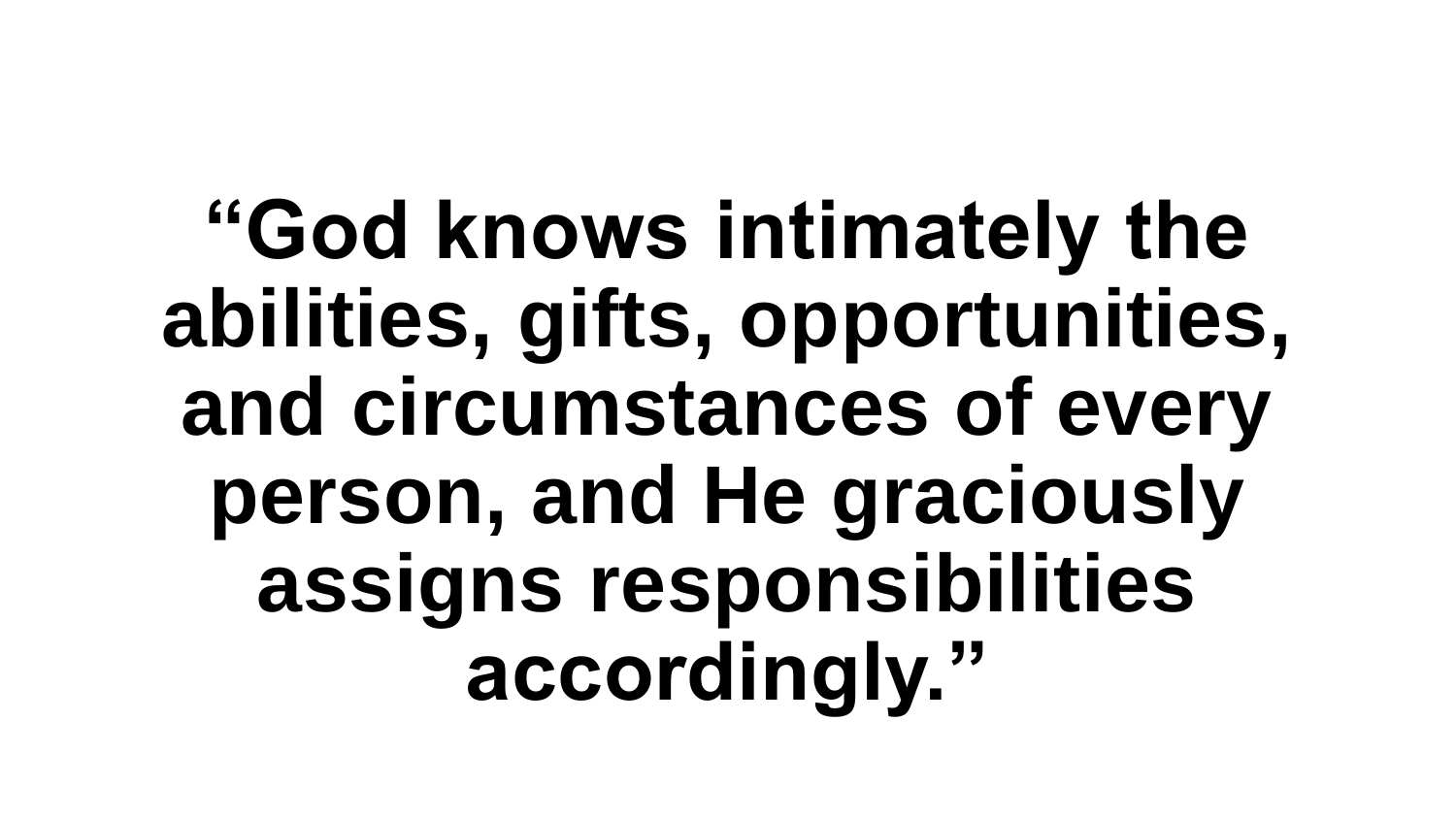**"God knows intimately the abilities, gifts, opportunities, and circumstances of every person, and He graciously assigns responsibilities accordingly."**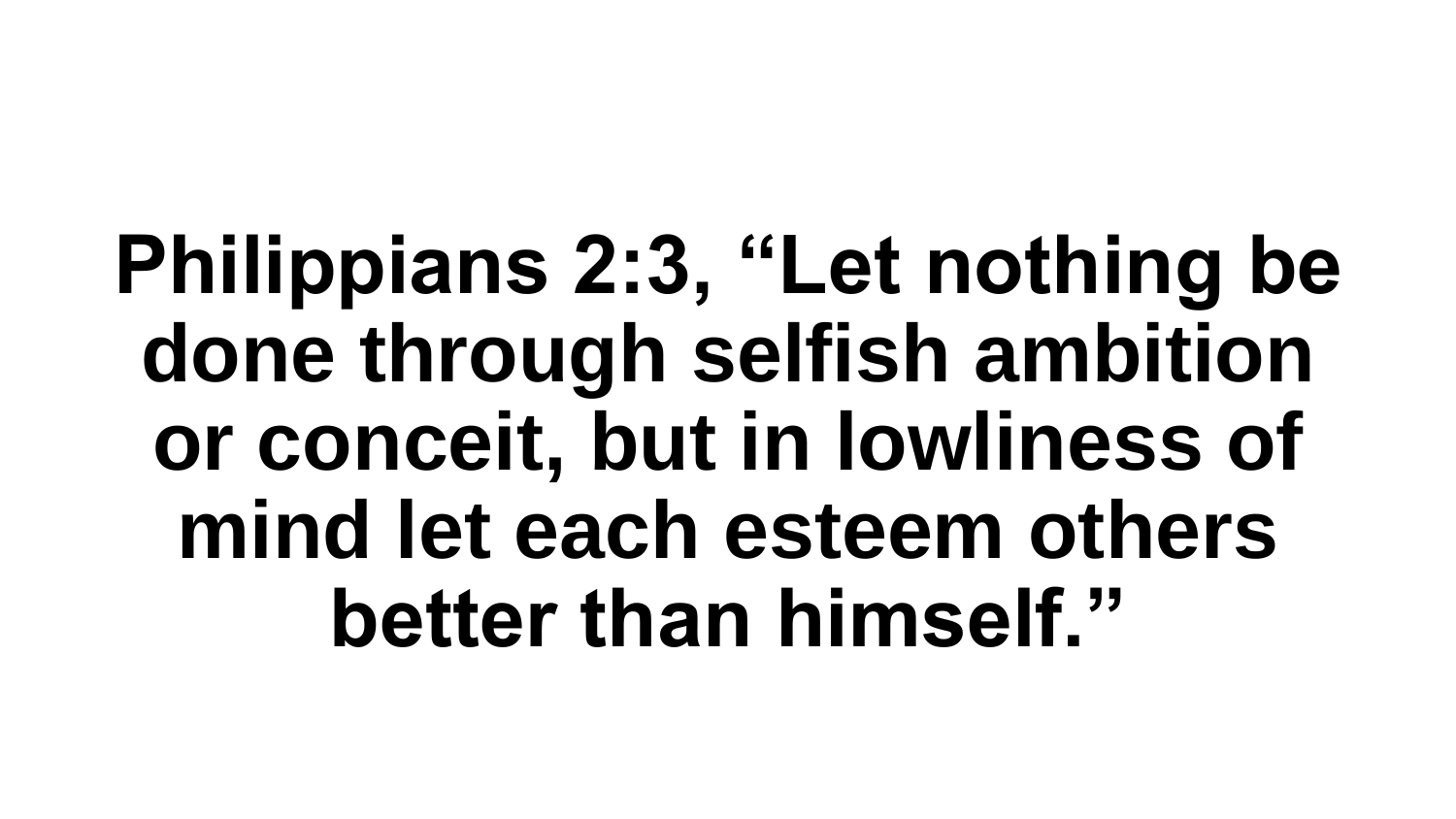**Philippians 2:3, "Let nothing be done through selfish ambition or conceit, but in lowliness of mind let each esteem others better than himself."**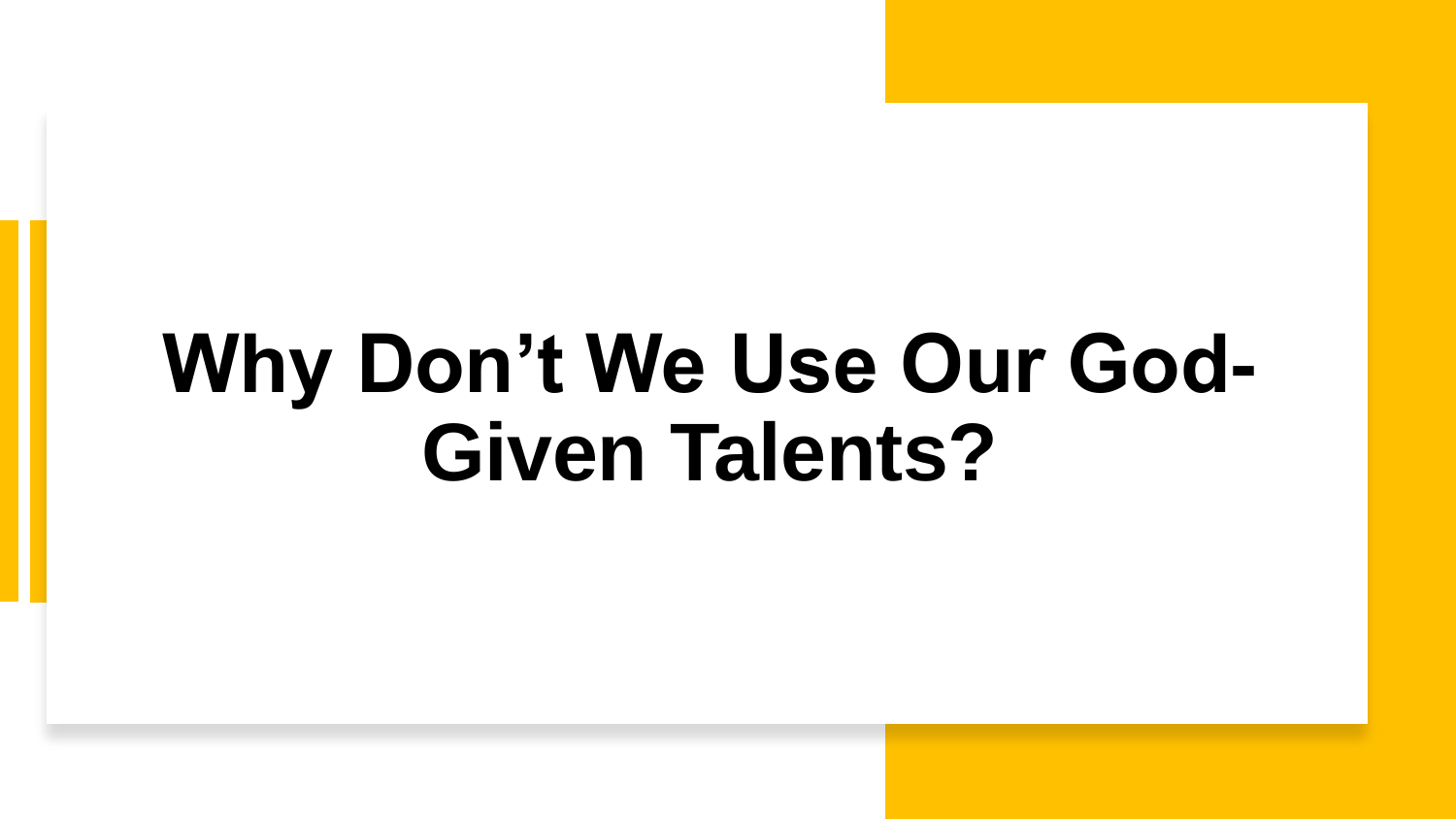### **Why Don't We Use Our God-Given Talents?**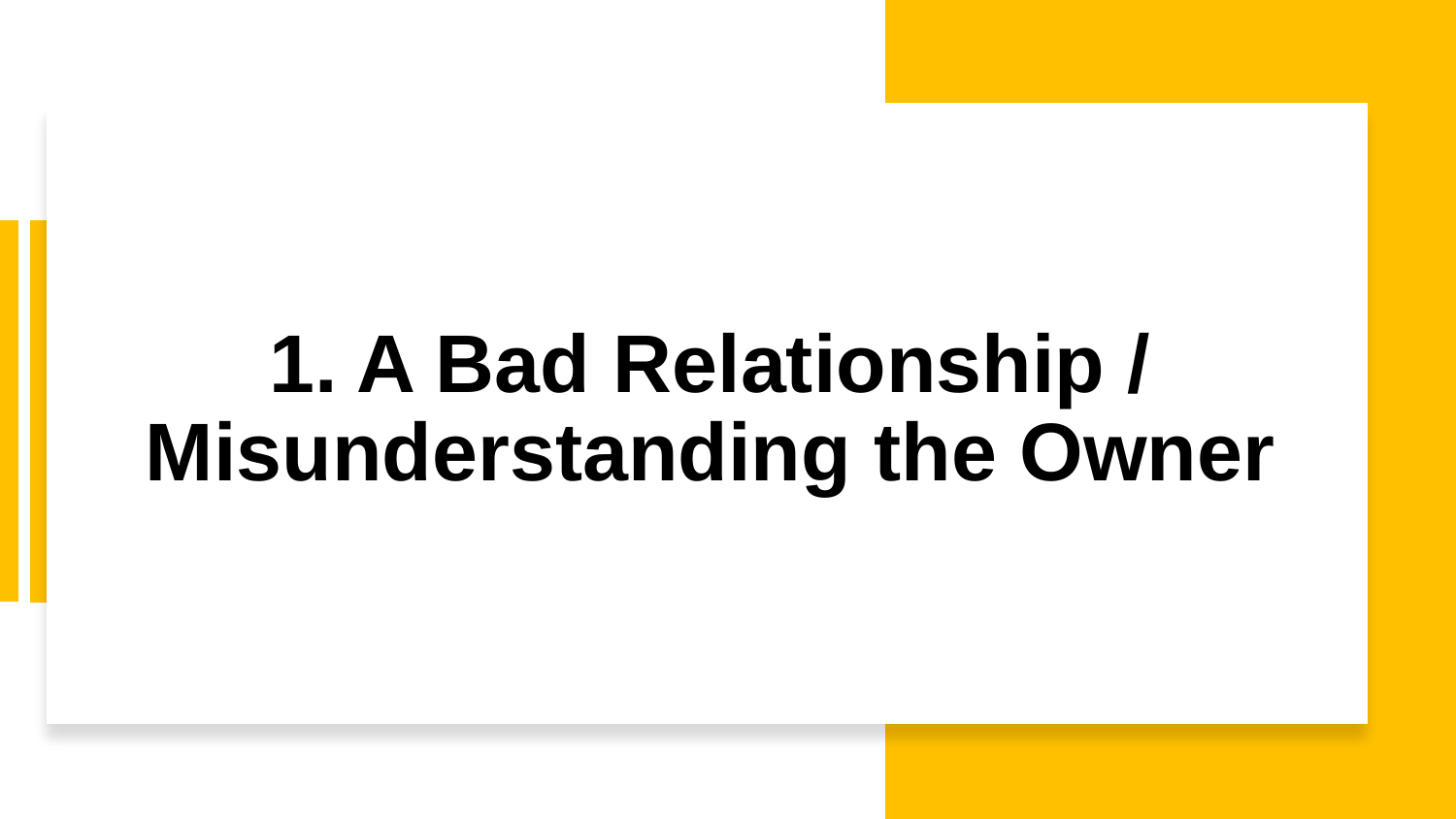# **1. A Bad Relationship / Misunderstanding the Owner**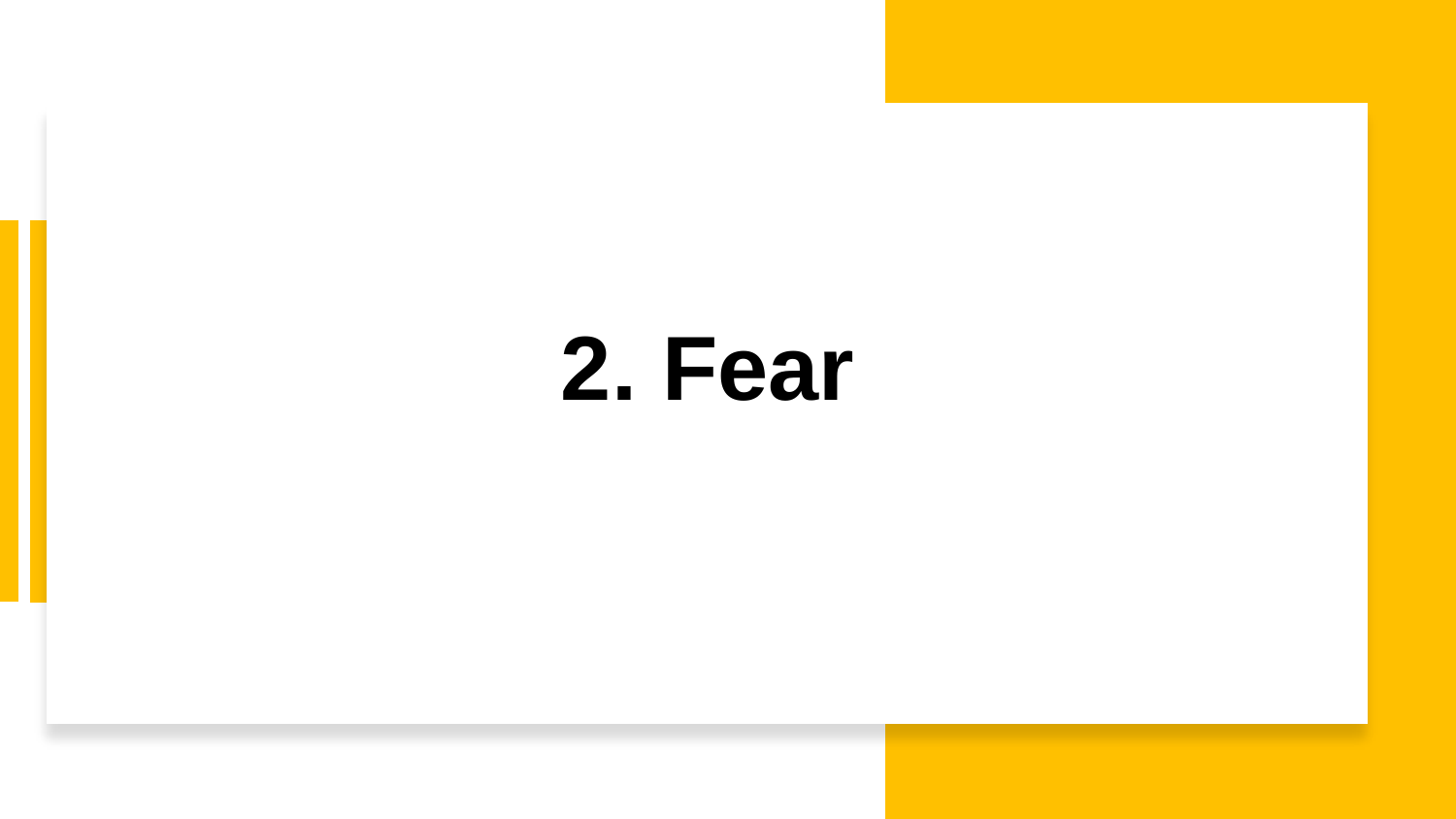**2. Fear**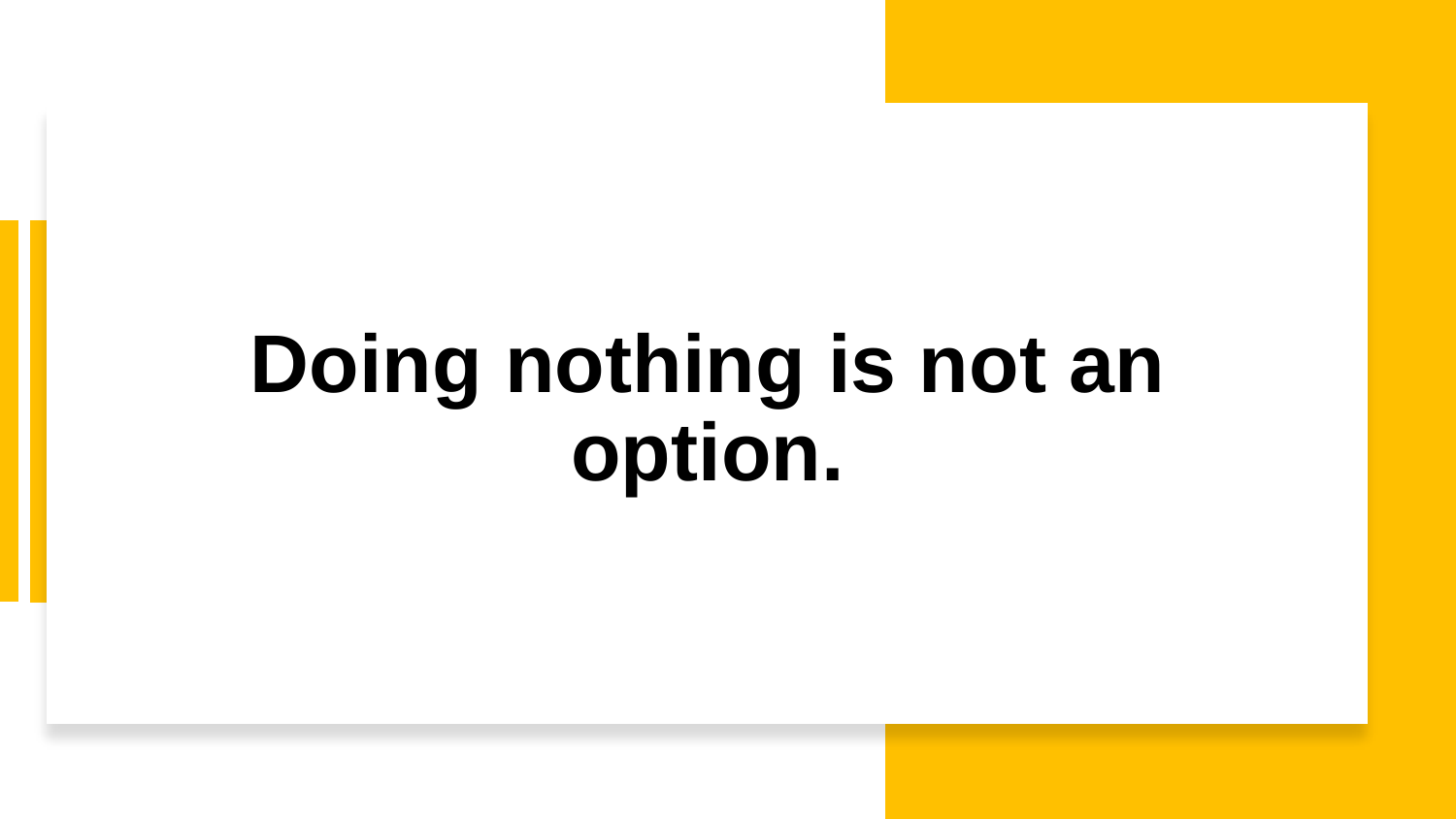# **Doing nothing is not an option.**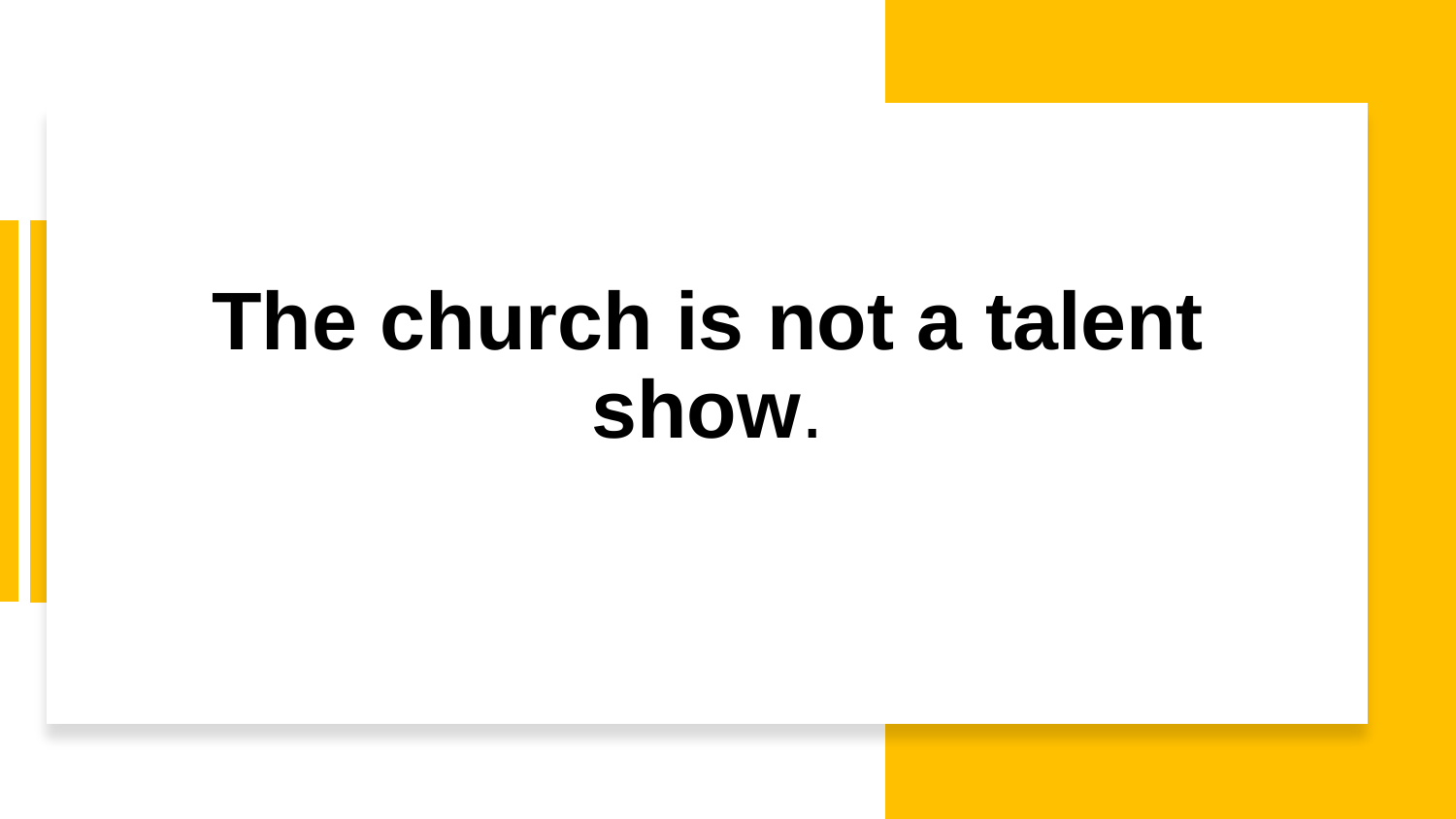### **The church is not a talent show**.